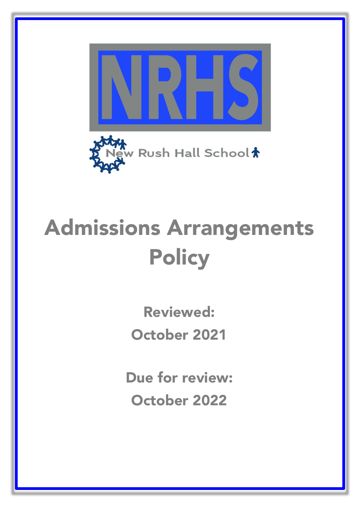



## Admissions Arrangements **Policy**

Reviewed:

October 2021

Due for review: October 2022